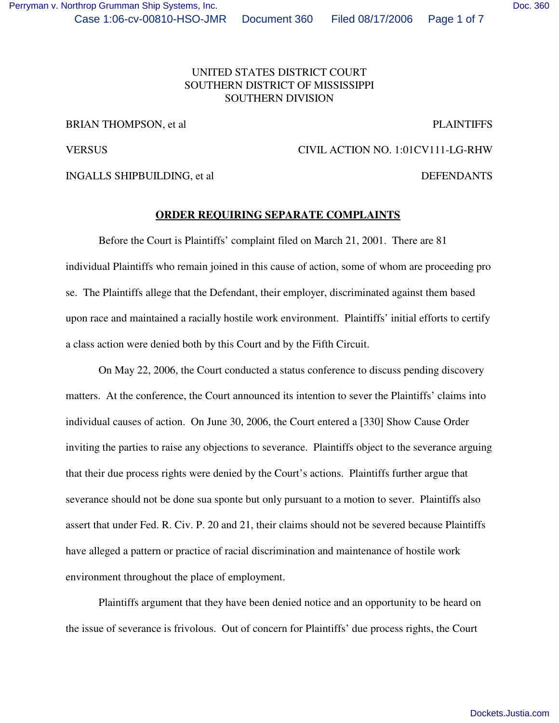BRIAN THOMPSON, et al **PLAINTIFFS** 

VERSUS CIVIL ACTION NO. 1:01CV111-LG-RHW

INGALLS SHIPBUILDING, et al DEFENDANTS

## **ORDER REQUIRING SEPARATE COMPLAINTS**

Before the Court is Plaintiffs' complaint filed on March 21, 2001. There are 81 individual Plaintiffs who remain joined in this cause of action, some of whom are proceeding pro se. The Plaintiffs allege that the Defendant, their employer, discriminated against them based upon race and maintained a racially hostile work environment. Plaintiffs' initial efforts to certify a class action were denied both by this Court and by the Fifth Circuit.

On May 22, 2006, the Court conducted a status conference to discuss pending discovery matters. At the conference, the Court announced its intention to sever the Plaintiffs' claims into individual causes of action. On June 30, 2006, the Court entered a [330] Show Cause Order inviting the parties to raise any objections to severance. Plaintiffs object to the severance arguing that their due process rights were denied by the Court's actions. Plaintiffs further argue that severance should not be done sua sponte but only pursuant to a motion to sever. Plaintiffs also assert that under Fed. R. Civ. P. 20 and 21, their claims should not be severed because Plaintiffs have alleged a pattern or practice of racial discrimination and maintenance of hostile work environment throughout the place of employment.

Plaintiffs argument that they have been denied notice and an opportunity to be heard on the issue of severance is frivolous. Out of concern for Plaintiffs' due process rights, the Court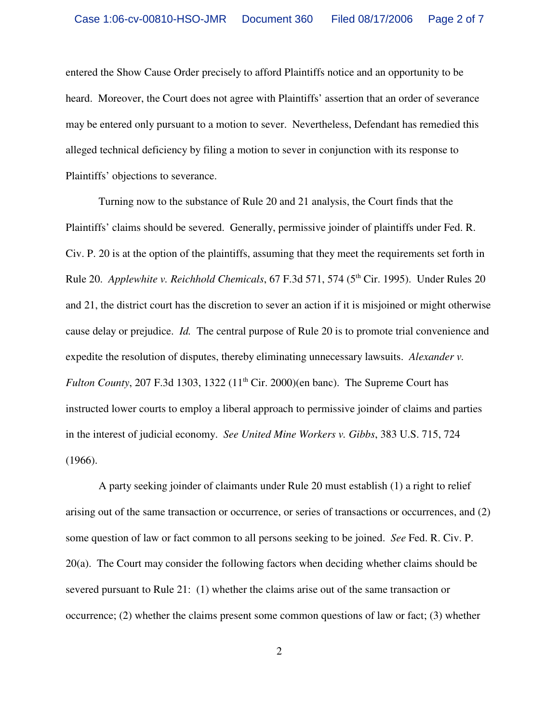entered the Show Cause Order precisely to afford Plaintiffs notice and an opportunity to be heard. Moreover, the Court does not agree with Plaintiffs' assertion that an order of severance may be entered only pursuant to a motion to sever. Nevertheless, Defendant has remedied this alleged technical deficiency by filing a motion to sever in conjunction with its response to Plaintiffs' objections to severance.

Turning now to the substance of Rule 20 and 21 analysis, the Court finds that the Plaintiffs' claims should be severed. Generally, permissive joinder of plaintiffs under Fed. R. Civ. P. 20 is at the option of the plaintiffs, assuming that they meet the requirements set forth in Rule 20. *Applewhite v. Reichhold Chemicals*, 67 F.3d 571, 574 (5 th Cir. 1995). Under Rules 20 and 21, the district court has the discretion to sever an action if it is misjoined or might otherwise cause delay or prejudice. *Id.* The central purpose of Rule 20 is to promote trial convenience and expedite the resolution of disputes, thereby eliminating unnecessary lawsuits. *Alexander v. Fulton County*, 207 F.3d 1303, 1322 (11<sup>th</sup> Cir. 2000)(en banc). The Supreme Court has instructed lower courts to employ a liberal approach to permissive joinder of claims and parties in the interest of judicial economy. *See United Mine Workers v. Gibbs*, 383 U.S. 715, 724 (1966).

A party seeking joinder of claimants under Rule 20 must establish (1) a right to relief arising out of the same transaction or occurrence, or series of transactions or occurrences, and (2) some question of law or fact common to all persons seeking to be joined. *See* Fed. R. Civ. P. 20(a). The Court may consider the following factors when deciding whether claims should be severed pursuant to Rule 21: (1) whether the claims arise out of the same transaction or occurrence; (2) whether the claims present some common questions of law or fact; (3) whether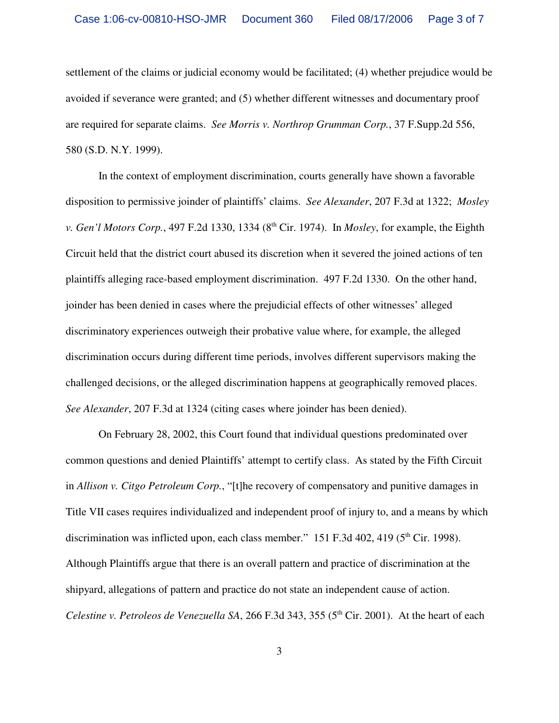settlement of the claims or judicial economy would be facilitated; (4) whether prejudice would be avoided if severance were granted; and (5) whether different witnesses and documentary proof are required for separate claims. *See Morris v. Northrop Grumman Corp.*, 37 F.Supp.2d 556, 580 (S.D. N.Y. 1999).

In the context of employment discrimination, courts generally have shown a favorable disposition to permissive joinder of plaintiffs' claims. *See Alexander*, 207 F.3d at 1322; *Mosley v. Gen'l Motors Corp.*, 497 F.2d 1330, 1334 (8<sup>th</sup> Cir. 1974). In *Mosley*, for example, the Eighth Circuit held that the district court abused its discretion when it severed the joined actions of ten plaintiffs alleging race-based employment discrimination. 497 F.2d 1330. On the other hand, joinder has been denied in cases where the prejudicial effects of other witnesses' alleged discriminatory experiences outweigh their probative value where, for example, the alleged discrimination occurs during different time periods, involves different supervisors making the challenged decisions, or the alleged discrimination happens at geographically removed places. *See Alexander*, 207 F.3d at 1324 (citing cases where joinder has been denied).

On February 28, 2002, this Court found that individual questions predominated over common questions and denied Plaintiffs' attempt to certify class. As stated by the Fifth Circuit in *Allison v. Citgo Petroleum Corp.*, "[t]he recovery of compensatory and punitive damages in Title VII cases requires individualized and independent proof of injury to, and a means by which discrimination was inflicted upon, each class member." 151 F.3d 402, 419 (5<sup>th</sup> Cir. 1998). Although Plaintiffs argue that there is an overall pattern and practice of discrimination at the shipyard, allegations of pattern and practice do not state an independent cause of action. *Celestine v. Petroleos de Venezuella SA*, 266 F.3d 343, 355 (5 th Cir. 2001). At the heart of each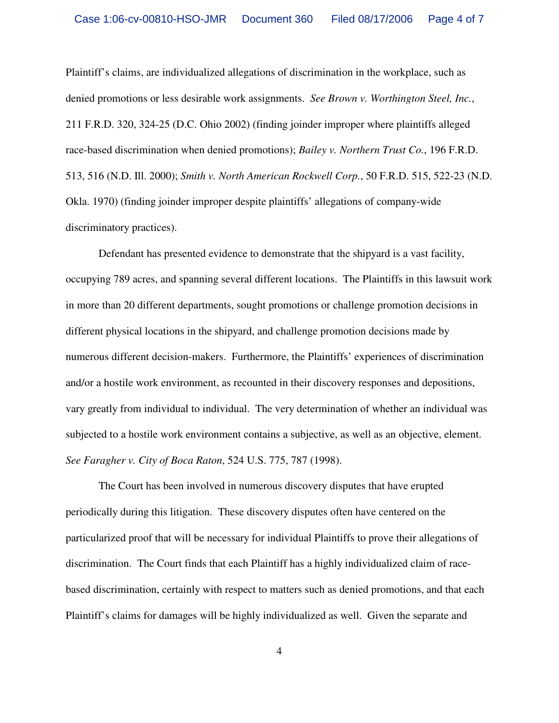Plaintiff's claims, are individualized allegations of discrimination in the workplace, such as denied promotions or less desirable work assignments. *See Brown v. Worthington Steel, Inc.*, 211 F.R.D. 320, 324-25 (D.C. Ohio 2002) (finding joinder improper where plaintiffs alleged race-based discrimination when denied promotions); *Bailey v. Northern Trust Co.*, 196 F.R.D. 513, 516 (N.D. Ill. 2000); *Smith v. North American Rockwell Corp.*, 50 F.R.D. 515, 522-23 (N.D. Okla. 1970) (finding joinder improper despite plaintiffs' allegations of company-wide discriminatory practices).

Defendant has presented evidence to demonstrate that the shipyard is a vast facility, occupying 789 acres, and spanning several different locations. The Plaintiffs in this lawsuit work in more than 20 different departments, sought promotions or challenge promotion decisions in different physical locations in the shipyard, and challenge promotion decisions made by numerous different decision-makers. Furthermore, the Plaintiffs' experiences of discrimination and/or a hostile work environment, as recounted in their discovery responses and depositions, vary greatly from individual to individual. The very determination of whether an individual was subjected to a hostile work environment contains a subjective, as well as an objective, element. *See Faragher v. City of Boca Raton*, 524 U.S. 775, 787 (1998).

The Court has been involved in numerous discovery disputes that have erupted periodically during this litigation. These discovery disputes often have centered on the particularized proof that will be necessary for individual Plaintiffs to prove their allegations of discrimination. The Court finds that each Plaintiff has a highly individualized claim of racebased discrimination, certainly with respect to matters such as denied promotions, and that each Plaintiff's claims for damages will be highly individualized as well. Given the separate and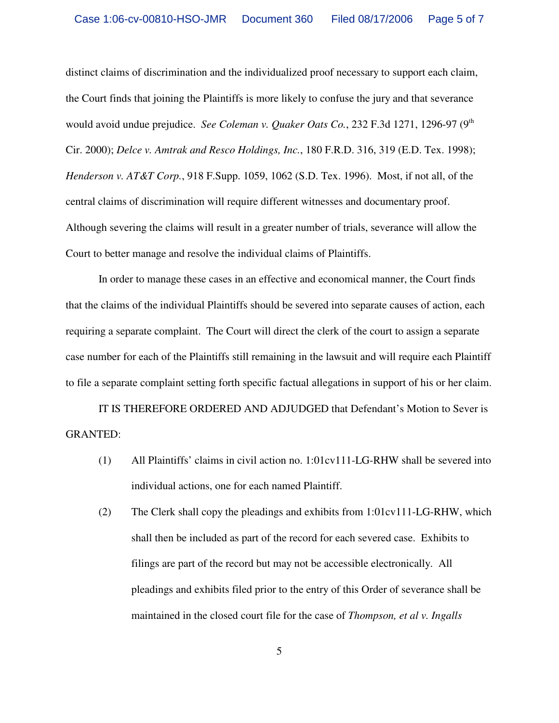distinct claims of discrimination and the individualized proof necessary to support each claim, the Court finds that joining the Plaintiffs is more likely to confuse the jury and that severance would avoid undue prejudice. *See Coleman v. Quaker Oats Co.*, 232 F.3d 1271, 1296-97 (9 th Cir. 2000); *Delce v. Amtrak and Resco Holdings, Inc.*, 180 F.R.D. 316, 319 (E.D. Tex. 1998); *Henderson v. AT&T Corp.*, 918 F.Supp. 1059, 1062 (S.D. Tex. 1996). Most, if not all, of the central claims of discrimination will require different witnesses and documentary proof. Although severing the claims will result in a greater number of trials, severance will allow the Court to better manage and resolve the individual claims of Plaintiffs.

In order to manage these cases in an effective and economical manner, the Court finds that the claims of the individual Plaintiffs should be severed into separate causes of action, each requiring a separate complaint. The Court will direct the clerk of the court to assign a separate case number for each of the Plaintiffs still remaining in the lawsuit and will require each Plaintiff to file a separate complaint setting forth specific factual allegations in support of his or her claim.

IT IS THEREFORE ORDERED AND ADJUDGED that Defendant's Motion to Sever is GRANTED:

- (1) All Plaintiffs' claims in civil action no. 1:01cv111-LG-RHW shall be severed into individual actions, one for each named Plaintiff.
- (2) The Clerk shall copy the pleadings and exhibits from 1:01cv111-LG-RHW, which shall then be included as part of the record for each severed case. Exhibits to filings are part of the record but may not be accessible electronically. All pleadings and exhibits filed prior to the entry of this Order of severance shall be maintained in the closed court file for the case of *Thompson, et al v. Ingalls*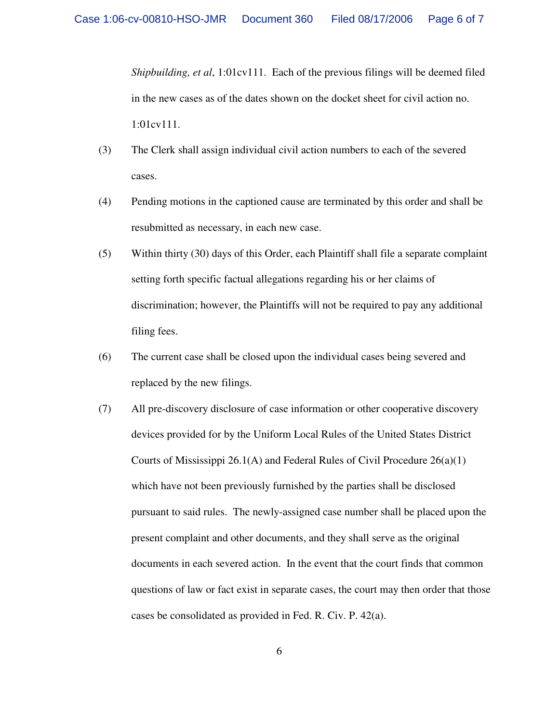*Shipbuilding, et al*, 1:01cv111. Each of the previous filings will be deemed filed in the new cases as of the dates shown on the docket sheet for civil action no. 1:01cv111.

- (3) The Clerk shall assign individual civil action numbers to each of the severed cases.
- (4) Pending motions in the captioned cause are terminated by this order and shall be resubmitted as necessary, in each new case.
- (5) Within thirty (30) days of this Order, each Plaintiff shall file a separate complaint setting forth specific factual allegations regarding his or her claims of discrimination; however, the Plaintiffs will not be required to pay any additional filing fees.
- (6) The current case shall be closed upon the individual cases being severed and replaced by the new filings.
- (7) All pre-discovery disclosure of case information or other cooperative discovery devices provided for by the Uniform Local Rules of the United States District Courts of Mississippi 26.1(A) and Federal Rules of Civil Procedure  $26(a)(1)$ which have not been previously furnished by the parties shall be disclosed pursuant to said rules. The newly-assigned case number shall be placed upon the present complaint and other documents, and they shall serve as the original documents in each severed action. In the event that the court finds that common questions of law or fact exist in separate cases, the court may then order that those cases be consolidated as provided in Fed. R. Civ. P. 42(a).

6